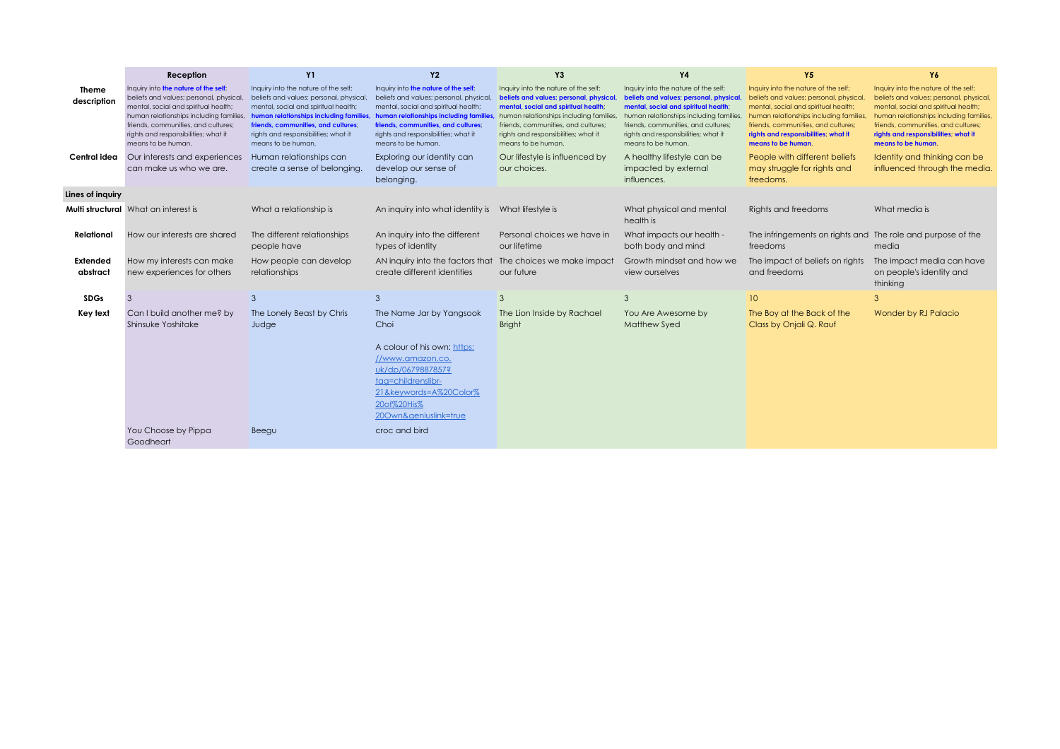|                             | Reception                                                                                                                                                                                                                                                               | <b>Y1</b>                                                                                                                                                                                                                                                              | <b>Y2</b>                                                                                                                                                                                                                                                             | Y3                                                                                                                                                                                                                                                                     | <b>Y4</b>                                                                                                                                                                                                                                                              | Y5                                                                                                                                                                                                                                                                     | Y6                                                                                                                                                                                                                                                                      |
|-----------------------------|-------------------------------------------------------------------------------------------------------------------------------------------------------------------------------------------------------------------------------------------------------------------------|------------------------------------------------------------------------------------------------------------------------------------------------------------------------------------------------------------------------------------------------------------------------|-----------------------------------------------------------------------------------------------------------------------------------------------------------------------------------------------------------------------------------------------------------------------|------------------------------------------------------------------------------------------------------------------------------------------------------------------------------------------------------------------------------------------------------------------------|------------------------------------------------------------------------------------------------------------------------------------------------------------------------------------------------------------------------------------------------------------------------|------------------------------------------------------------------------------------------------------------------------------------------------------------------------------------------------------------------------------------------------------------------------|-------------------------------------------------------------------------------------------------------------------------------------------------------------------------------------------------------------------------------------------------------------------------|
| <b>Theme</b><br>description | Inquiry into the nature of the self;<br>beliefs and values; personal, physical,<br>mental, social and spiritual health;<br>human relationships including families,<br>friends, communities, and cultures;<br>rights and responsibilities; what it<br>means to be human. | Inquiry into the nature of the self;<br>beliefs and values; personal, physical,<br>mental, social and spiritual health:<br>human relationships including families<br>friends, communities, and cultures;<br>rights and responsibilities; what it<br>means to be human. | Inquiry into the nature of the self;<br>beliefs and values; personal, physical<br>mental, social and spiritual health:<br>human relationships including families<br>friends, communities, and cultures;<br>rights and responsibilities; what it<br>means to be human. | Inquiry into the nature of the self;<br>beliefs and values; personal, physical,<br>mental, social and spiritual health;<br>human relationships including families<br>friends, communities, and cultures;<br>rights and responsibilities; what it<br>means to be human. | Inquiry into the nature of the self;<br>beliefs and values; personal, physical,<br>mental, social and spiritual health;<br>human relationships including families<br>friends, communities, and cultures;<br>rights and responsibilities; what it<br>means to be human. | Inquiry into the nature of the self;<br>beliefs and values; personal, physical,<br>mental, social and spiritual health;<br>human relationships including families<br>friends, communities, and cultures;<br>rights and responsibilities; what it<br>means to be human. | Inquiry into the nature of the self;<br>beliefs and values; personal, physical,<br>mental, social and spiritual health;<br>human relationships including families,<br>friends, communities, and cultures;<br>rights and responsibilities, what it<br>means to be human. |
| Central idea                | Our interests and experiences<br>can make us who we are.                                                                                                                                                                                                                | Human relationships can<br>create a sense of belonging.                                                                                                                                                                                                                | Exploring our identity can<br>develop our sense of<br>belonging.                                                                                                                                                                                                      | Our lifestyle is influenced by<br>our choices.                                                                                                                                                                                                                         | A healthy lifestyle can be<br>impacted by external<br>influences.                                                                                                                                                                                                      | People with different beliefs<br>may struggle for rights and<br>freedoms.                                                                                                                                                                                              | Identity and thinking can be<br>influenced through the media.                                                                                                                                                                                                           |
| Lines of inquiry            |                                                                                                                                                                                                                                                                         |                                                                                                                                                                                                                                                                        |                                                                                                                                                                                                                                                                       |                                                                                                                                                                                                                                                                        |                                                                                                                                                                                                                                                                        |                                                                                                                                                                                                                                                                        |                                                                                                                                                                                                                                                                         |
|                             | <b>Multi structural</b> What an interest is                                                                                                                                                                                                                             | What a relationship is                                                                                                                                                                                                                                                 | An inquiry into what identity is What lifestyle is                                                                                                                                                                                                                    |                                                                                                                                                                                                                                                                        | What physical and mental<br>health is                                                                                                                                                                                                                                  | Rights and freedoms                                                                                                                                                                                                                                                    | What media is                                                                                                                                                                                                                                                           |
| Relational                  | How our interests are shared                                                                                                                                                                                                                                            | The different relationships<br>people have                                                                                                                                                                                                                             | An inquiry into the different<br>types of identity                                                                                                                                                                                                                    | Personal choices we have in<br>our lifetime                                                                                                                                                                                                                            | What impacts our health -<br>both body and mind                                                                                                                                                                                                                        | The infringements on rights and The role and purpose of the<br>freedoms                                                                                                                                                                                                | media                                                                                                                                                                                                                                                                   |
| <b>Extended</b><br>abstract | How my interests can make<br>new experiences for others                                                                                                                                                                                                                 | How people can develop<br>relationships                                                                                                                                                                                                                                | AN inquiry into the factors that<br>create different identities                                                                                                                                                                                                       | The choices we make impact<br>our future                                                                                                                                                                                                                               | Growth mindset and how we<br>view ourselves                                                                                                                                                                                                                            | The impact of beliefs on rights<br>and freedoms                                                                                                                                                                                                                        | The impact media can have<br>on people's identity and<br>thinking                                                                                                                                                                                                       |
| <b>SDGs</b>                 |                                                                                                                                                                                                                                                                         | 3                                                                                                                                                                                                                                                                      | 3                                                                                                                                                                                                                                                                     | 3                                                                                                                                                                                                                                                                      | 3                                                                                                                                                                                                                                                                      | 10 <sup>°</sup>                                                                                                                                                                                                                                                        | 3                                                                                                                                                                                                                                                                       |
| Key text                    | Can I build another me? by<br>Shinsuke Yoshitake                                                                                                                                                                                                                        | The Lonely Beast by Chris<br>Judge                                                                                                                                                                                                                                     | The Name Jar by Yangsook<br>Choi<br>A colour of his own: https:<br>//www.amazon.co.<br>uk/dp/0679887857?<br>tag=childrenslibr-<br>21&keywords=A%20Color%<br>20of%20His%<br>200wn&geniuslink=true                                                                      | The Lion Inside by Rachael<br><b>Bright</b>                                                                                                                                                                                                                            | You Are Awesome by<br><b>Matthew Syed</b>                                                                                                                                                                                                                              | The Boy at the Back of the<br>Class by Onjali Q. Rauf                                                                                                                                                                                                                  | <b>Wonder by RJ Palacio</b>                                                                                                                                                                                                                                             |
|                             | You Choose by Pippa<br>Goodheart                                                                                                                                                                                                                                        | Beegu                                                                                                                                                                                                                                                                  | croc and bird                                                                                                                                                                                                                                                         |                                                                                                                                                                                                                                                                        |                                                                                                                                                                                                                                                                        |                                                                                                                                                                                                                                                                        |                                                                                                                                                                                                                                                                         |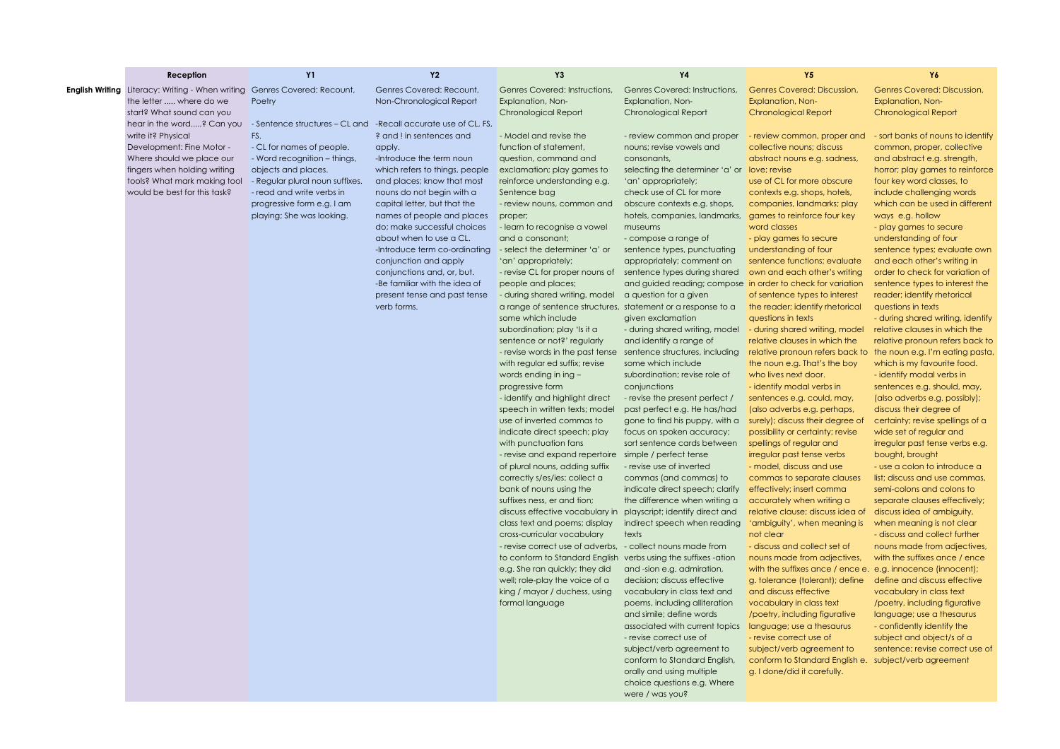| <b>English Writing</b> Literacy: Writing - When writing<br>Genres Covered: Recount,<br>Genres Covered: Recount,<br>Genres Covered: Instructions,<br>Genres Covered: Instructions,<br>Genres Covered: Discussion,<br>the letter  where do we<br>Poetry<br>Non-Chronological Report<br>Explanation, Non-<br>Explanation, Non-<br>Explanation, Non-<br>Explanation, Non-<br>start? What sound can you<br>Chronological Report<br><b>Chronological Report</b><br>Chronological Report<br>hear in the word? Can you<br>- Sentence structures - CL and - Recall accurate use of CL, FS,<br>FS.<br>? and ! in sentences and<br>write it? Physical<br>- Model and revise the<br>- review common and proper<br>- review common, proper and<br>Development: Fine Motor -<br>- CL for names of people.<br>function of statement.<br>nouns: revise vowels and<br>collective nouns; discuss<br>apply.<br>Where should we place our<br>- Word recognition - things,<br>-Introduce the term noun<br>question, command and<br>consonants,<br>abstract nouns e.g. sadness,<br>fingers when holding writing<br>objects and places.<br>which refers to things, people<br>exclamation; play games to<br>selecting the determiner 'a' or<br>love; revise<br>tools? What mark making tool<br>- Regular plural noun suffixes.<br>and places; know that most<br>reinforce understanding e.g.<br>'an' appropriately;<br>use of CL for more obscure<br>would be best for this task?<br>- read and write verbs in<br>nouns do not begin with a<br>check use of CL for more<br>Sentence bag<br>contexts e.g. shops, hotels,<br>progressive form e.g. I am<br>capital letter, but that the<br>- review nouns, common and<br>obscure contexts e.g. shops,<br>companies, landmarks; play<br>playing; She was looking.<br>names of people and places<br>proper;<br>hotels, companies, landmarks,<br>games to reinforce four key<br>ways e.g. hollow<br>do; make successful choices<br>- learn to recognise a vowel<br>museums<br>word classes<br>about when to use a CL.<br>and a consonant;<br>- compose a range of<br>- play games to secure<br>-Introduce term co-ordinating<br>- select the determiner 'a' or<br>sentence types, punctuating<br>understanding of four<br>conjunction and apply<br>'an' appropriately;<br>appropriately; comment on<br>sentence functions; evaluate<br>conjunctions and, or, but.<br>- revise CL for proper nouns of<br>sentence types during shared<br>own and each other's writing<br>-Be familiar with the idea of<br>people and places;<br>and guided reading; compose in order to check for variation<br>present tense and past tense<br>- during shared writing, model<br>a question for a given<br>of sentence types to interest<br>verb forms.<br>a range of sentence structures,<br>statement or a response to a<br>the reader; identify rhetorical<br>questions in texts<br>some which include<br>given exclamation<br>questions in texts<br>subordination; play 'Is it a<br>- during shared writing, model<br>- during shared writing, model<br>sentence or not?' regularly<br>and identify a range of<br>relative clauses in which the<br>- revise words in the past tense<br>sentence structures, including<br>relative pronoun refers back to<br>with regular ed suffix; revise<br>some which include<br>the noun e.g. That's the boy<br>words ending in ing -<br>subordination; revise role of<br>who lives next door.<br>progressive form<br>conjunctions<br>- identify modal verbs in<br>- identify and highlight direct<br>- revise the present perfect /<br>sentences e.g. could, may,<br>speech in written texts; model<br>past perfect e.g. He has/had<br>(also adverbs e.g. perhaps,<br>use of inverted commas to<br>gone to find his puppy, with a<br>surely); discuss their degree of<br>indicate direct speech; play<br>focus on spoken accuracy;<br>possibility or certainty; revise<br>with punctuation fans<br>sort sentence cards between<br>spellings of regular and<br>- revise and expand repertoire<br>simple / perfect tense<br>irregular past tense verbs<br>bought, brought<br>of plural nouns, adding suffix<br>- revise use of inverted<br>- model, discuss and use<br>correctly s/es/ies; collect a<br>commas (and commas) to<br>commas to separate clauses<br>bank of nouns using the<br>indicate direct speech; clarify<br>effectively; insert comma<br>suffixes ness, er and tion;<br>the difference when writing a<br>accurately when writing a<br>discuss effective vocabulary in<br>playscript; identify direct and<br>relative clause; discuss idea of<br>class text and poems; display<br>indirect speech when reading<br>'ambiguity', when meaning is<br>texts<br>not clear<br>cross-curricular vocabulary<br>- revise correct use of adverbs,<br>- collect nouns made from<br>- discuss and collect set of<br>to conform to Standard English<br>verbs using the suffixes -ation<br>nouns made from adjectives,<br>e.g. She ran quickly; they did<br>and -sion e.g. admiration,<br>with the suffixes ance / ence e. e.g. innocence (innocent);<br>well; role-play the voice of a<br>decision; discuss effective<br>g. tolerance (tolerant); define<br>king / mayor / duchess, using<br>and discuss effective<br>vocabulary in class text and<br>formal language<br>poems, including alliteration<br>vocabulary in class text<br>and simile; define words<br>/poetry, including figurative<br>associated with current topics<br>language; use a thesaurus<br>- revise correct use of<br>- revise correct use of<br>subject/verb agreement to<br>subject/verb agreement to<br>conform to Standard English,<br>conform to Standard English e. subject/verb agreement | Reception | <b>Y1</b> | <b>Y2</b> | Y3 | Υ4                        | Y <sub>5</sub>              | Y6                                                                                                                                                                                                                                                                                                                                                                                                                                                                                                                                                                                                                                                                                                                                                                                                                                                                                                                                                                                                                                                                                                                                                                                                                                                                                                          |
|----------------------------------------------------------------------------------------------------------------------------------------------------------------------------------------------------------------------------------------------------------------------------------------------------------------------------------------------------------------------------------------------------------------------------------------------------------------------------------------------------------------------------------------------------------------------------------------------------------------------------------------------------------------------------------------------------------------------------------------------------------------------------------------------------------------------------------------------------------------------------------------------------------------------------------------------------------------------------------------------------------------------------------------------------------------------------------------------------------------------------------------------------------------------------------------------------------------------------------------------------------------------------------------------------------------------------------------------------------------------------------------------------------------------------------------------------------------------------------------------------------------------------------------------------------------------------------------------------------------------------------------------------------------------------------------------------------------------------------------------------------------------------------------------------------------------------------------------------------------------------------------------------------------------------------------------------------------------------------------------------------------------------------------------------------------------------------------------------------------------------------------------------------------------------------------------------------------------------------------------------------------------------------------------------------------------------------------------------------------------------------------------------------------------------------------------------------------------------------------------------------------------------------------------------------------------------------------------------------------------------------------------------------------------------------------------------------------------------------------------------------------------------------------------------------------------------------------------------------------------------------------------------------------------------------------------------------------------------------------------------------------------------------------------------------------------------------------------------------------------------------------------------------------------------------------------------------------------------------------------------------------------------------------------------------------------------------------------------------------------------------------------------------------------------------------------------------------------------------------------------------------------------------------------------------------------------------------------------------------------------------------------------------------------------------------------------------------------------------------------------------------------------------------------------------------------------------------------------------------------------------------------------------------------------------------------------------------------------------------------------------------------------------------------------------------------------------------------------------------------------------------------------------------------------------------------------------------------------------------------------------------------------------------------------------------------------------------------------------------------------------------------------------------------------------------------------------------------------------------------------------------------------------------------------------------------------------------------------------------------------------------------------------------------------------------------------------------------------------------------------------------------------------------------------------------------------------------------------------------------------------------------------------------------------------------------------------------------------------------------------------------------------------------------------------------------------------------------------------------------------------------------------------------------------------------------------------------------------------------------------------------------------------------------------------------------------------------------------------------------------------------------------------------------------------------------------------------------------------------------------------------------------------------------------------------------------------------------------------------------------------------------------------------------------------------------------------------------|-----------|-----------|-----------|----|---------------------------|-----------------------------|-------------------------------------------------------------------------------------------------------------------------------------------------------------------------------------------------------------------------------------------------------------------------------------------------------------------------------------------------------------------------------------------------------------------------------------------------------------------------------------------------------------------------------------------------------------------------------------------------------------------------------------------------------------------------------------------------------------------------------------------------------------------------------------------------------------------------------------------------------------------------------------------------------------------------------------------------------------------------------------------------------------------------------------------------------------------------------------------------------------------------------------------------------------------------------------------------------------------------------------------------------------------------------------------------------------|
|                                                                                                                                                                                                                                                                                                                                                                                                                                                                                                                                                                                                                                                                                                                                                                                                                                                                                                                                                                                                                                                                                                                                                                                                                                                                                                                                                                                                                                                                                                                                                                                                                                                                                                                                                                                                                                                                                                                                                                                                                                                                                                                                                                                                                                                                                                                                                                                                                                                                                                                                                                                                                                                                                                                                                                                                                                                                                                                                                                                                                                                                                                                                                                                                                                                                                                                                                                                                                                                                                                                                                                                                                                                                                                                                                                                                                                                                                                                                                                                                                                                                                                                                                                                                                                                                                                                                                                                                                                                                                                                                                                                                                                                                                                                                                                                                                                                                                                                                                                                                                                                                                                                                                                                                                                                                                                                                                                                                                                                                                                                                                                                                                                                                                                                      |           |           |           |    |                           |                             | Genres Covered: Discussion,<br><b>Chronological Report</b>                                                                                                                                                                                                                                                                                                                                                                                                                                                                                                                                                                                                                                                                                                                                                                                                                                                                                                                                                                                                                                                                                                                                                                                                                                                  |
|                                                                                                                                                                                                                                                                                                                                                                                                                                                                                                                                                                                                                                                                                                                                                                                                                                                                                                                                                                                                                                                                                                                                                                                                                                                                                                                                                                                                                                                                                                                                                                                                                                                                                                                                                                                                                                                                                                                                                                                                                                                                                                                                                                                                                                                                                                                                                                                                                                                                                                                                                                                                                                                                                                                                                                                                                                                                                                                                                                                                                                                                                                                                                                                                                                                                                                                                                                                                                                                                                                                                                                                                                                                                                                                                                                                                                                                                                                                                                                                                                                                                                                                                                                                                                                                                                                                                                                                                                                                                                                                                                                                                                                                                                                                                                                                                                                                                                                                                                                                                                                                                                                                                                                                                                                                                                                                                                                                                                                                                                                                                                                                                                                                                                                                      |           |           |           |    |                           |                             | - sort banks of nouns to identify<br>common, proper, collective<br>and abstract e.g. strength,<br>horror; play games to reinforce<br>four key word classes, to<br>include challenging words<br>which can be used in different<br>- play games to secure<br>understanding of four<br>sentence types; evaluate own<br>and each other's writing in<br>order to check for variation of<br>sentence types to interest the<br>reader; identify rhetorical<br>- during shared writing, identify<br>relative clauses in which the<br>relative pronoun refers back to<br>the noun e.g. I'm eating pasta,<br>which is my favourite food.<br>- identify modal verbs in<br>sentences e.g. should, may,<br>(also adverbs e.g. possibly);<br>discuss their degree of<br>certainty; revise spellings of a<br>wide set of regular and<br>irregular past tense verbs e.g.<br>- use a colon to introduce a<br>list: discuss and use commas.<br>semi-colons and colons to<br>separate clauses effectively;<br>discuss idea of ambiguity,<br>when meaning is not clear<br>- discuss and collect further<br>nouns made from adjectives,<br>with the suffixes ance / ence<br>define and discuss effective<br>vocabulary in class text<br>/poetry, including figurative<br>language; use a thesaurus<br>- confidently identify the |
| choice questions e.g. Where<br>were / was you?                                                                                                                                                                                                                                                                                                                                                                                                                                                                                                                                                                                                                                                                                                                                                                                                                                                                                                                                                                                                                                                                                                                                                                                                                                                                                                                                                                                                                                                                                                                                                                                                                                                                                                                                                                                                                                                                                                                                                                                                                                                                                                                                                                                                                                                                                                                                                                                                                                                                                                                                                                                                                                                                                                                                                                                                                                                                                                                                                                                                                                                                                                                                                                                                                                                                                                                                                                                                                                                                                                                                                                                                                                                                                                                                                                                                                                                                                                                                                                                                                                                                                                                                                                                                                                                                                                                                                                                                                                                                                                                                                                                                                                                                                                                                                                                                                                                                                                                                                                                                                                                                                                                                                                                                                                                                                                                                                                                                                                                                                                                                                                                                                                                                       |           |           |           |    | orally and using multiple | g. I done/did it carefully. | subject and object/s of a<br>sentence; revise correct use of                                                                                                                                                                                                                                                                                                                                                                                                                                                                                                                                                                                                                                                                                                                                                                                                                                                                                                                                                                                                                                                                                                                                                                                                                                                |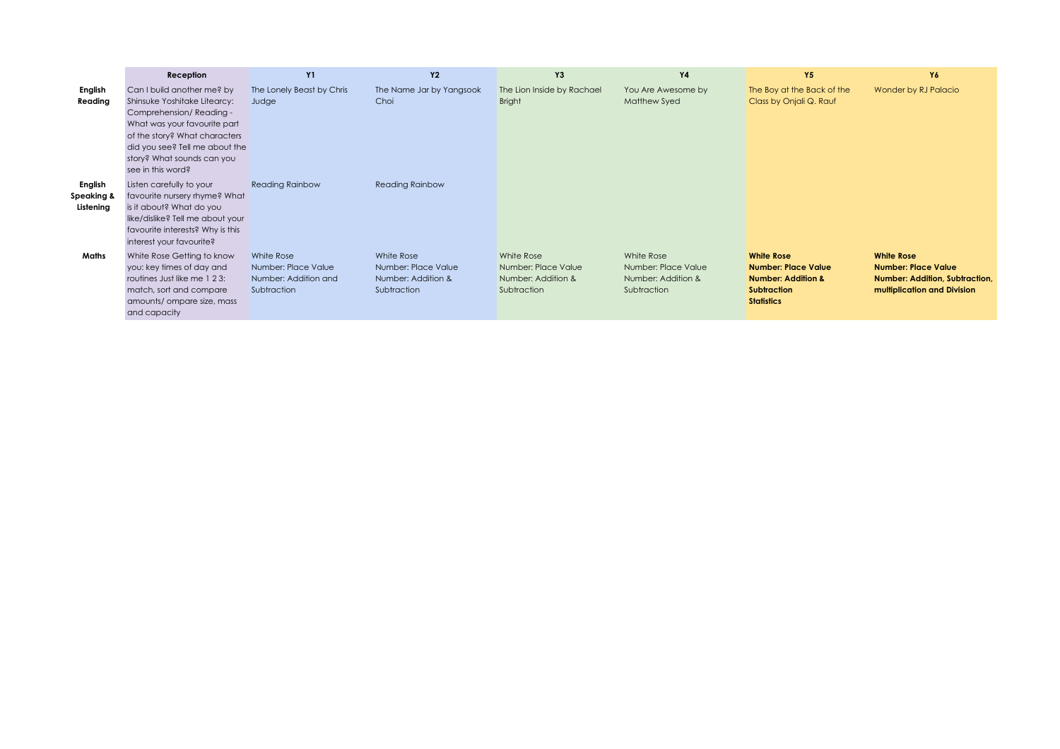|                                    | Reception                                                                                                                                                                                                                                   | <b>Y1</b>                                                                | <b>Y2</b>                                                              | Y3                                                                     | <b>Y4</b>                                                              | <b>Y5</b>                                                                                                                   | Y6                                                                                                                      |
|------------------------------------|---------------------------------------------------------------------------------------------------------------------------------------------------------------------------------------------------------------------------------------------|--------------------------------------------------------------------------|------------------------------------------------------------------------|------------------------------------------------------------------------|------------------------------------------------------------------------|-----------------------------------------------------------------------------------------------------------------------------|-------------------------------------------------------------------------------------------------------------------------|
| English<br>Reading                 | Can I build another me? by<br>Shinsuke Yoshitake Litearcy:<br>Comprehension/Reading -<br>What was your favourite part<br>of the story? What characters<br>did you see? Tell me about the<br>story? What sounds can you<br>see in this word? | The Lonely Beast by Chris<br>Judge                                       | The Name Jar by Yangsook<br>Choi                                       | The Lion Inside by Rachael<br><b>Bright</b>                            | You Are Awesome by<br><b>Matthew Syed</b>                              | The Boy at the Back of the<br>Class by Onjali Q. Rauf                                                                       | Wonder by RJ Palacio                                                                                                    |
| English<br>Speaking &<br>Listening | Listen carefully to your<br>favourite nursery rhyme? What<br>is it about? What do you<br>like/dislike? Tell me about your<br>favourite interests? Why is this<br>interest your favourite?                                                   | <b>Reading Rainbow</b>                                                   | <b>Reading Rainbow</b>                                                 |                                                                        |                                                                        |                                                                                                                             |                                                                                                                         |
| Maths                              | White Rose Getting to know<br>you: key times of day and<br>routines Just like me 1 2 3:<br>match, sort and compare<br>amounts/ ompare size, mass<br>and capacity                                                                            | White Rose<br>Number: Place Value<br>Number: Addition and<br>Subtraction | White Rose<br>Number: Place Value<br>Number: Addition &<br>Subtraction | White Rose<br>Number: Place Value<br>Number: Addition &<br>Subtraction | White Rose<br>Number: Place Value<br>Number: Addition &<br>Subtraction | <b>White Rose</b><br><b>Number: Place Value</b><br><b>Number: Addition &amp;</b><br><b>Subtraction</b><br><b>Statistics</b> | <b>White Rose</b><br><b>Number: Place Value</b><br><b>Number: Addition, Subtraction,</b><br>multiplication and Division |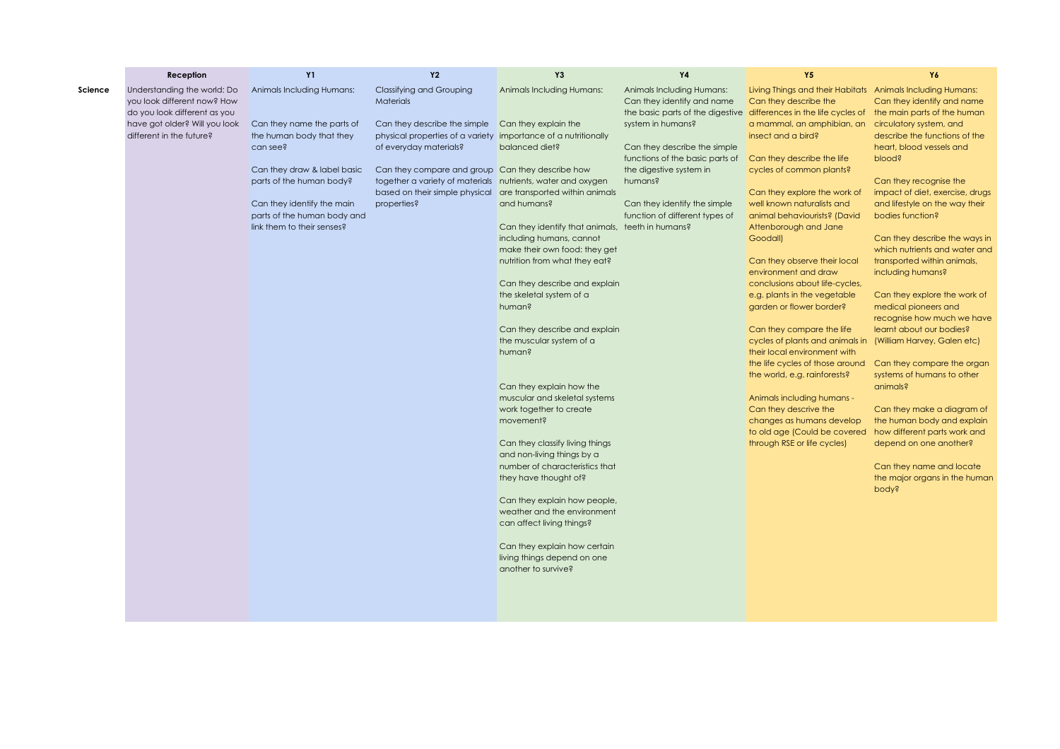|         | Reception                                                                                                                                               | <b>Y1</b>                                                                                                                                                                                                                                             | <b>Y2</b>                                                                                                                                                                                                                                                                                                         | Y3                                                                                                                                                                                                                                                                                                                                                                                                                                                                                                                                                                                                                        | <b>Y4</b>                                                                                                                                                                                                                                                                                                                                                 | <b>Y5</b>                                                                                                                                                                                                                                                                                                                                                                                                                                                                                                                                                                                                                                                                                                                                                                                                        | Y6                                                                                                                                                                                                                                                                                                                                                                                                                                                                                                                                                                                                                                                                                                                   |
|---------|---------------------------------------------------------------------------------------------------------------------------------------------------------|-------------------------------------------------------------------------------------------------------------------------------------------------------------------------------------------------------------------------------------------------------|-------------------------------------------------------------------------------------------------------------------------------------------------------------------------------------------------------------------------------------------------------------------------------------------------------------------|---------------------------------------------------------------------------------------------------------------------------------------------------------------------------------------------------------------------------------------------------------------------------------------------------------------------------------------------------------------------------------------------------------------------------------------------------------------------------------------------------------------------------------------------------------------------------------------------------------------------------|-----------------------------------------------------------------------------------------------------------------------------------------------------------------------------------------------------------------------------------------------------------------------------------------------------------------------------------------------------------|------------------------------------------------------------------------------------------------------------------------------------------------------------------------------------------------------------------------------------------------------------------------------------------------------------------------------------------------------------------------------------------------------------------------------------------------------------------------------------------------------------------------------------------------------------------------------------------------------------------------------------------------------------------------------------------------------------------------------------------------------------------------------------------------------------------|----------------------------------------------------------------------------------------------------------------------------------------------------------------------------------------------------------------------------------------------------------------------------------------------------------------------------------------------------------------------------------------------------------------------------------------------------------------------------------------------------------------------------------------------------------------------------------------------------------------------------------------------------------------------------------------------------------------------|
| Science | Understanding the world: Do<br>you look different now? How<br>do you look different as you<br>have got older? Will you look<br>different in the future? | Animals Including Humans:<br>Can they name the parts of<br>the human body that they<br>can see?<br>Can they draw & label basic<br>parts of the human body?<br>Can they identify the main<br>parts of the human body and<br>link them to their senses? | <b>Classifying and Grouping</b><br><b>Materials</b><br>Can they describe the simple<br>physical properties of a variety importance of a nutritionally<br>of everyday materials?<br>Can they compare and group Can they describe how<br>together a variety of materials nutrients, water and oxygen<br>properties? | Animals Including Humans:<br>Can they explain the<br>balanced diet?<br>based on their simple physical are transported within animals<br>and humans?<br>Can they identify that animals, teeth in humans?<br>including humans, cannot<br>make their own food: they get<br>nutrition from what they eat?<br>Can they describe and explain<br>the skeletal system of a<br>human?<br>Can they describe and explain<br>the muscular system of a<br>human?<br>Can they explain how the<br>muscular and skeletal systems<br>work together to create<br>movement?<br>Can they classify living things<br>and non-living things by a | Animals Including Humans:<br>Can they identify and name<br>the basic parts of the digestive differences in the life cycles of the main parts of the human<br>system in humans?<br>Can they describe the simple<br>functions of the basic parts of<br>the digestive system in<br>humans?<br>Can they identify the simple<br>function of different types of | Living Things and their Habitats Animals Including Humans:<br>Can they describe the<br>a mammal, an amphibian, an<br>insect and a bird?<br>Can they describe the life<br>cycles of common plants?<br>Can they explore the work of<br>well known naturalists and<br>animal behaviourists? (David<br>Attenborough and Jane<br>Goodall)<br>Can they observe their local<br>environment and draw<br>conclusions about life-cycles,<br>e.g. plants in the vegetable<br>garden or flower border?<br>Can they compare the life<br>cycles of plants and animals in<br>their local environment with<br>the life cycles of those around<br>the world, e.g. rainforests?<br>Animals including humans -<br>Can they descrive the<br>changes as humans develop<br>to old age (Could be covered<br>through RSE or life cycles) | Can they identify and name<br>circulatory system, and<br>describe the functions of the<br>heart, blood vessels and<br>blood?<br>Can they recognise the<br>impact of diet, exercise, drugs<br>and lifestyle on the way their<br>bodies function?<br>Can they describe the ways in<br>which nutrients and water and<br>transported within animals,<br>including humans?<br>Can they explore the work of<br>medical pioneers and<br>recognise how much we have<br>learnt about our bodies?<br>(William Harvey, Galen etc)<br>Can they compare the organ<br>systems of humans to other<br>animals?<br>Can they make a diagram of<br>the human body and explain<br>how different parts work and<br>depend on one another? |
|         |                                                                                                                                                         |                                                                                                                                                                                                                                                       |                                                                                                                                                                                                                                                                                                                   | number of characteristics that<br>they have thought of?<br>Can they explain how people,<br>weather and the environment<br>can affect living things?                                                                                                                                                                                                                                                                                                                                                                                                                                                                       |                                                                                                                                                                                                                                                                                                                                                           |                                                                                                                                                                                                                                                                                                                                                                                                                                                                                                                                                                                                                                                                                                                                                                                                                  | Can they name and locate<br>the major organs in the human<br>pody?                                                                                                                                                                                                                                                                                                                                                                                                                                                                                                                                                                                                                                                   |
|         |                                                                                                                                                         |                                                                                                                                                                                                                                                       |                                                                                                                                                                                                                                                                                                                   | Can they explain how certain<br>living things depend on one<br>another to survive?                                                                                                                                                                                                                                                                                                                                                                                                                                                                                                                                        |                                                                                                                                                                                                                                                                                                                                                           |                                                                                                                                                                                                                                                                                                                                                                                                                                                                                                                                                                                                                                                                                                                                                                                                                  |                                                                                                                                                                                                                                                                                                                                                                                                                                                                                                                                                                                                                                                                                                                      |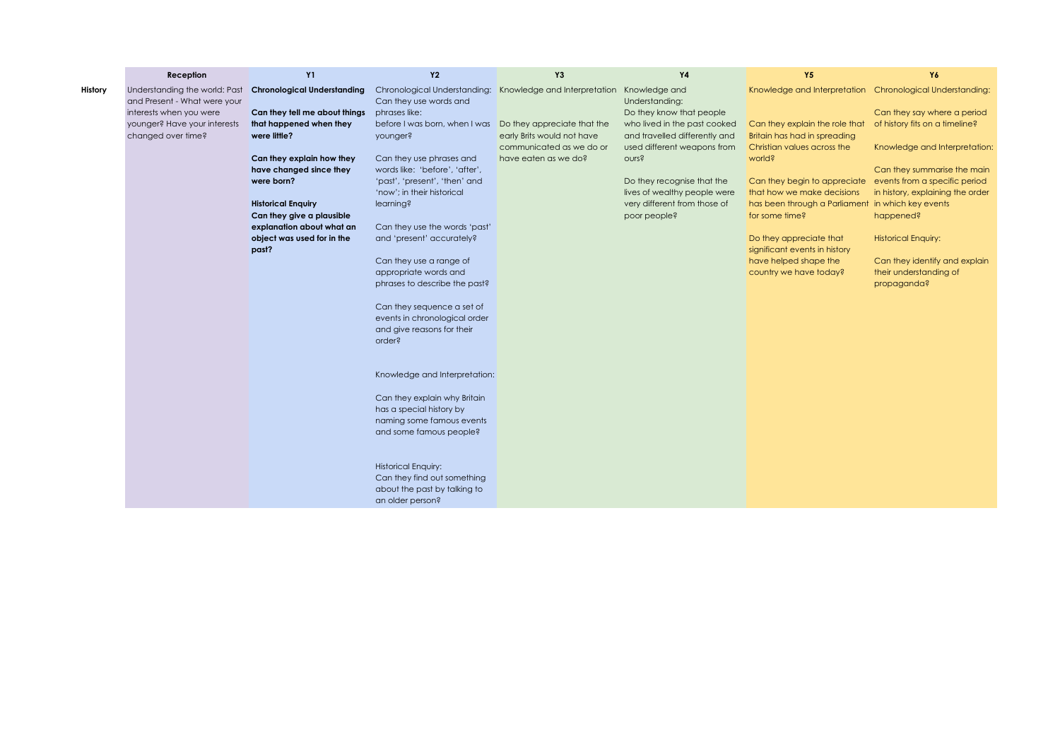|         | Reception                                                     | <b>Y1</b>                           | <b>Y2</b>                                                 | Y3                                                                      | Y4                            | Y5                                                        | Y6                               |
|---------|---------------------------------------------------------------|-------------------------------------|-----------------------------------------------------------|-------------------------------------------------------------------------|-------------------------------|-----------------------------------------------------------|----------------------------------|
| History | Understanding the world: Past<br>and Present - What were your | <b>Chronological Understanding</b>  | Can they use words and                                    | Chronological Understanding: Knowledge and Interpretation Knowledge and | Understanding:                | Knowledge and Interpretation Chronological Understanding: |                                  |
|         | interests when you were                                       | Can they tell me about things       | phrases like:                                             |                                                                         | Do they know that people      |                                                           | Can they say where a period      |
|         | younger? Have your interests                                  | that happened when they             | before I was born, when I was Do they appreciate that the |                                                                         | who lived in the past cooked  | Can they explain the role that                            | of history fits on a timeline?   |
|         | changed over time?                                            | were little?                        | younger?                                                  | early Brits would not have                                              | and travelled differently and | <b>Britain has had in spreading</b>                       |                                  |
|         |                                                               |                                     |                                                           | communicated as we do or                                                | used different weapons from   | Christian values across the                               | Knowledge and Interpretation:    |
|         |                                                               | Can they explain how they           | Can they use phrases and                                  | have eaten as we do?                                                    | <b>OUrs?</b>                  | world?                                                    |                                  |
|         |                                                               | have changed since they             | words like: 'before', 'after',                            |                                                                         |                               |                                                           | Can they summarise the main      |
|         |                                                               | were born?                          | 'past', 'present', 'then' and                             |                                                                         | Do they recognise that the    | Can they begin to appreciate                              | events from a specific period    |
|         |                                                               |                                     | 'now'; in their historical                                |                                                                         | lives of wealthy people were  | that how we make decisions                                | in history, explaining the order |
|         |                                                               | <b>Historical Enquiry</b>           | learning?                                                 |                                                                         | very different from those of  | has been through a Parliament in which key events         |                                  |
|         |                                                               | Can they give a plausible           |                                                           |                                                                         | poor people?                  | for some time?                                            | happened?                        |
|         |                                                               | explanation about what an           | Can they use the words 'past'                             |                                                                         |                               |                                                           |                                  |
|         |                                                               | object was used for in the<br>past? | and 'present' accurately?                                 |                                                                         |                               | Do they appreciate that<br>significant events in history  | <b>Historical Enquiry:</b>       |
|         |                                                               |                                     | Can they use a range of                                   |                                                                         |                               | have helped shape the                                     | Can they identify and explain    |
|         |                                                               |                                     | appropriate words and                                     |                                                                         |                               | country we have today?                                    | their understanding of           |
|         |                                                               |                                     | phrases to describe the past?                             |                                                                         |                               |                                                           | propaganda?                      |
|         |                                                               |                                     |                                                           |                                                                         |                               |                                                           |                                  |
|         |                                                               |                                     | Can they sequence a set of                                |                                                                         |                               |                                                           |                                  |
|         |                                                               |                                     | events in chronological order                             |                                                                         |                               |                                                           |                                  |
|         |                                                               |                                     | and give reasons for their                                |                                                                         |                               |                                                           |                                  |
|         |                                                               |                                     | order?                                                    |                                                                         |                               |                                                           |                                  |
|         |                                                               |                                     |                                                           |                                                                         |                               |                                                           |                                  |
|         |                                                               |                                     |                                                           |                                                                         |                               |                                                           |                                  |
|         |                                                               |                                     | Knowledge and Interpretation:                             |                                                                         |                               |                                                           |                                  |
|         |                                                               |                                     |                                                           |                                                                         |                               |                                                           |                                  |
|         |                                                               |                                     | Can they explain why Britain                              |                                                                         |                               |                                                           |                                  |
|         |                                                               |                                     | has a special history by                                  |                                                                         |                               |                                                           |                                  |
|         |                                                               |                                     | naming some famous events                                 |                                                                         |                               |                                                           |                                  |
|         |                                                               |                                     | and some famous people?                                   |                                                                         |                               |                                                           |                                  |
|         |                                                               |                                     |                                                           |                                                                         |                               |                                                           |                                  |
|         |                                                               |                                     | <b>Historical Enquiry:</b>                                |                                                                         |                               |                                                           |                                  |
|         |                                                               |                                     | Can they find out something                               |                                                                         |                               |                                                           |                                  |
|         |                                                               |                                     | about the past by talking to                              |                                                                         |                               |                                                           |                                  |
|         |                                                               |                                     | an older person?                                          |                                                                         |                               |                                                           |                                  |
|         |                                                               |                                     |                                                           |                                                                         |                               |                                                           |                                  |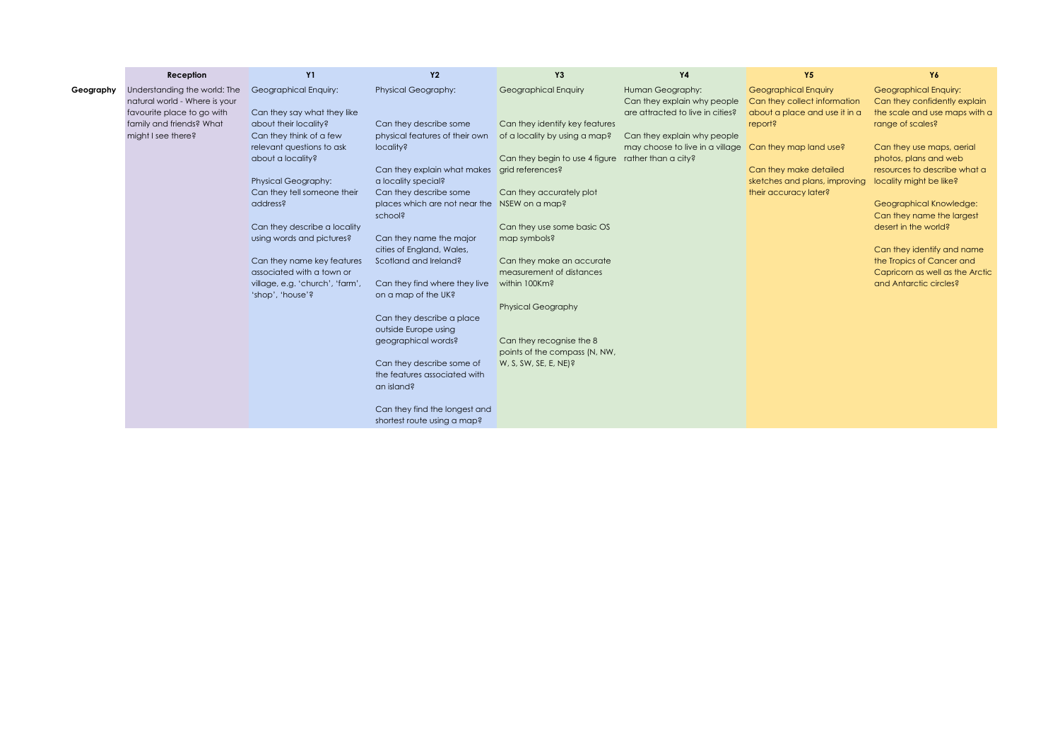|           | Reception                     | <b>Y1</b>                       | <b>Y2</b>                      | Y <sub>3</sub>                 | <b>Y4</b>                        | <b>Y5</b>                     | Y6                              |
|-----------|-------------------------------|---------------------------------|--------------------------------|--------------------------------|----------------------------------|-------------------------------|---------------------------------|
| Geography | Understanding the world: The  | Geographical Enquiry:           | <b>Physical Geography:</b>     | <b>Geographical Enquiry</b>    | Human Geography:                 | <b>Geographical Enquiry</b>   | <b>Geographical Enquiry:</b>    |
|           | natural world - Where is your |                                 |                                |                                | Can they explain why people      | Can they collect information  | Can they confidently explain    |
|           | favourite place to go with    | Can they say what they like     |                                |                                | are attracted to live in cities? | about a place and use it in a | the scale and use maps with a   |
|           | family and friends? What      | about their locality?           | Can they describe some         | Can they identify key features |                                  | report?                       | range of scales?                |
|           | might I see there?            | Can they think of a few         | physical features of their own | of a locality by using a map?  | Can they explain why people      |                               |                                 |
|           |                               | relevant questions to ask       | locality?                      |                                | may choose to live in a village  | Can they map land use?        | Can they use maps, aerial       |
|           |                               | about a locality?               |                                | Can they begin to use 4 figure | rather than a city?              |                               | photos, plans and web           |
|           |                               |                                 | Can they explain what makes    | grid references?               |                                  | Can they make detailed        | resources to describe what a    |
|           |                               | <b>Physical Geography:</b>      | a locality special?            |                                |                                  | sketches and plans, improving | locality might be like?         |
|           |                               | Can they tell someone their     | Can they describe some         | Can they accurately plot       |                                  | their accuracy later?         |                                 |
|           |                               | address?                        | places which are not near the  | NSEW on a map?                 |                                  |                               | Geographical Knowledge:         |
|           |                               |                                 | school?                        |                                |                                  |                               | Can they name the largest       |
|           |                               | Can they describe a locality    |                                | Can they use some basic OS     |                                  |                               | desert in the world?            |
|           |                               | using words and pictures?       | Can they name the major        | map symbols?                   |                                  |                               |                                 |
|           |                               |                                 | cities of England, Wales,      |                                |                                  |                               | Can they identify and name      |
|           |                               | Can they name key features      | Scotland and Ireland?          | Can they make an accurate      |                                  |                               | the Tropics of Cancer and       |
|           |                               | associated with a town or       |                                | measurement of distances       |                                  |                               | Capricorn as well as the Arctic |
|           |                               | village, e.g. 'church', 'farm', | Can they find where they live  | within 100Km?                  |                                  |                               | and Antarctic circles?          |
|           |                               | 'shop', 'house'?                | on a map of the UK?            |                                |                                  |                               |                                 |
|           |                               |                                 |                                | <b>Physical Geography</b>      |                                  |                               |                                 |
|           |                               |                                 | Can they describe a place      |                                |                                  |                               |                                 |
|           |                               |                                 | outside Europe using           |                                |                                  |                               |                                 |
|           |                               |                                 | geographical words?            | Can they recognise the 8       |                                  |                               |                                 |
|           |                               |                                 |                                | points of the compass (N, NW,  |                                  |                               |                                 |
|           |                               |                                 | Can they describe some of      | $W, S, SW, SE, E, NE$ ?        |                                  |                               |                                 |
|           |                               |                                 | the features associated with   |                                |                                  |                               |                                 |
|           |                               |                                 | an island?                     |                                |                                  |                               |                                 |
|           |                               |                                 | Can they find the longest and  |                                |                                  |                               |                                 |
|           |                               |                                 | shortest route using a map?    |                                |                                  |                               |                                 |
|           |                               |                                 |                                |                                |                                  |                               |                                 |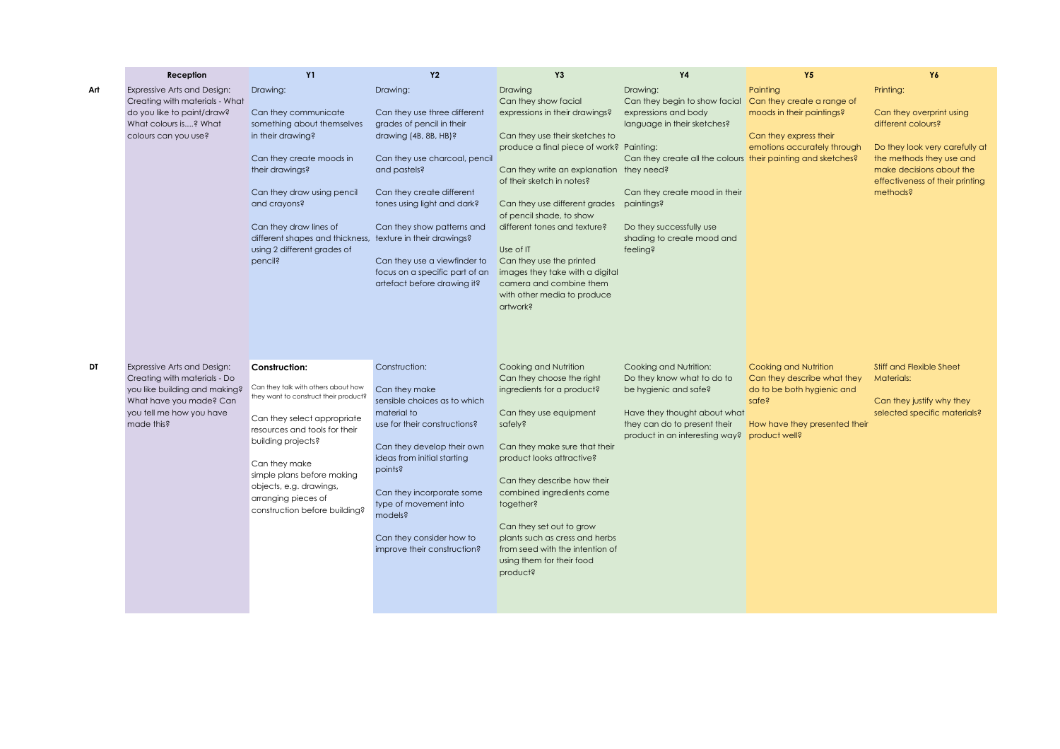|     | Reception                                                                                                                                                         | <b>Y1</b>                                                                                                                                                                                                                                                                                                             | <b>Y2</b>                                                                                                                                                                                                                                                                                                                                  | Y3                                                                                                                                                                                                                                                                                                                                                                                                                                                                      | <b>Y4</b>                                                                                                                                                                                                                                                                             | <b>Y5</b>                                                                                                                    | Y6                                                                                                                                                                                                   |
|-----|-------------------------------------------------------------------------------------------------------------------------------------------------------------------|-----------------------------------------------------------------------------------------------------------------------------------------------------------------------------------------------------------------------------------------------------------------------------------------------------------------------|--------------------------------------------------------------------------------------------------------------------------------------------------------------------------------------------------------------------------------------------------------------------------------------------------------------------------------------------|-------------------------------------------------------------------------------------------------------------------------------------------------------------------------------------------------------------------------------------------------------------------------------------------------------------------------------------------------------------------------------------------------------------------------------------------------------------------------|---------------------------------------------------------------------------------------------------------------------------------------------------------------------------------------------------------------------------------------------------------------------------------------|------------------------------------------------------------------------------------------------------------------------------|------------------------------------------------------------------------------------------------------------------------------------------------------------------------------------------------------|
| Art | Expressive Arts and Design:<br>Creating with materials - What<br>do you like to paint/draw?<br>What colours is? What<br>colours can you use?                      | Drawing:<br>Can they communicate<br>something about themselves<br>in their drawing?<br>Can they create moods in<br>their drawings?<br>Can they draw using pencil<br>and crayons?<br>Can they draw lines of<br>different shapes and thickness, texture in their drawings?<br>using 2 different grades of<br>pencil?    | Drawing:<br>Can they use three different<br>grades of pencil in their<br>drawing (4B, 8B, HB)?<br>Can they use charcoal, pencil<br>and pastels?<br>Can they create different<br>tones using light and dark?<br>Can they show patterns and<br>Can they use a viewfinder to<br>focus on a specific part of an<br>artefact before drawing it? | Drawing<br>Can they show facial<br>expressions in their drawings?<br>Can they use their sketches to<br>produce a final piece of work? Painting:<br>Can they write an explanation they need?<br>of their sketch in notes?<br>Can they use different grades<br>of pencil shade, to show<br>different tones and texture?<br>Use of IT<br>Can they use the printed<br>images they take with a digital<br>camera and combine them<br>with other media to produce<br>artwork? | Drawing:<br>Can they begin to show facial<br>expressions and body<br>language in their sketches?<br>Can they create all the colours their painting and sketches?<br>Can they create mood in their<br>paintings?<br>Do they successfully use<br>shading to create mood and<br>feeling? | Painting<br>Can they create a range of<br>moods in their paintings?<br>Can they express their<br>emotions accurately through | Printing:<br>Can they overprint using<br>different colours?<br>Do they look very carefully at<br>the methods they use and<br>make decisions about the<br>effectiveness of their printing<br>methods? |
| DT  | Expressive Arts and Design:<br>Creating with materials - Do<br>you like building and making?<br>What have you made? Can<br>you tell me how you have<br>made this? | Construction:<br>Can they talk with others about how<br>they want to construct their product?<br>Can they select appropriate<br>resources and tools for their<br>building projects?<br>Can they make<br>simple plans before making<br>objects, e.g. drawings,<br>arranging pieces of<br>construction before building? | Construction:<br>Can they make<br>sensible choices as to which<br>material to<br>use for their constructions?<br>Can they develop their own<br>ideas from initial starting<br>points?<br>Can they incorporate some<br>type of movement into<br>models?<br>Can they consider how to<br>improve their construction?                          | Cooking and Nutrition<br>Can they choose the right<br>ingredients for a product?<br>Can they use equipment<br>safely?<br>Can they make sure that their<br>product looks attractive?<br>Can they describe how their<br>combined ingredients come<br>together?<br>Can they set out to grow<br>plants such as cress and herbs<br>from seed with the intention of<br>using them for their food<br>product?                                                                  | Cooking and Nutrition:<br>Do they know what to do to<br>be hygienic and safe?<br>Have they thought about what<br>they can do to present their<br>product in an interesting way? product well?                                                                                         | Cooking and Nutrition<br>Can they describe what they<br>do to be both hygienic and<br>safe?<br>How have they presented their | <b>Stiff and Flexible Sheet</b><br><b>Materials:</b><br>Can they justify why they<br>selected specific materials?                                                                                    |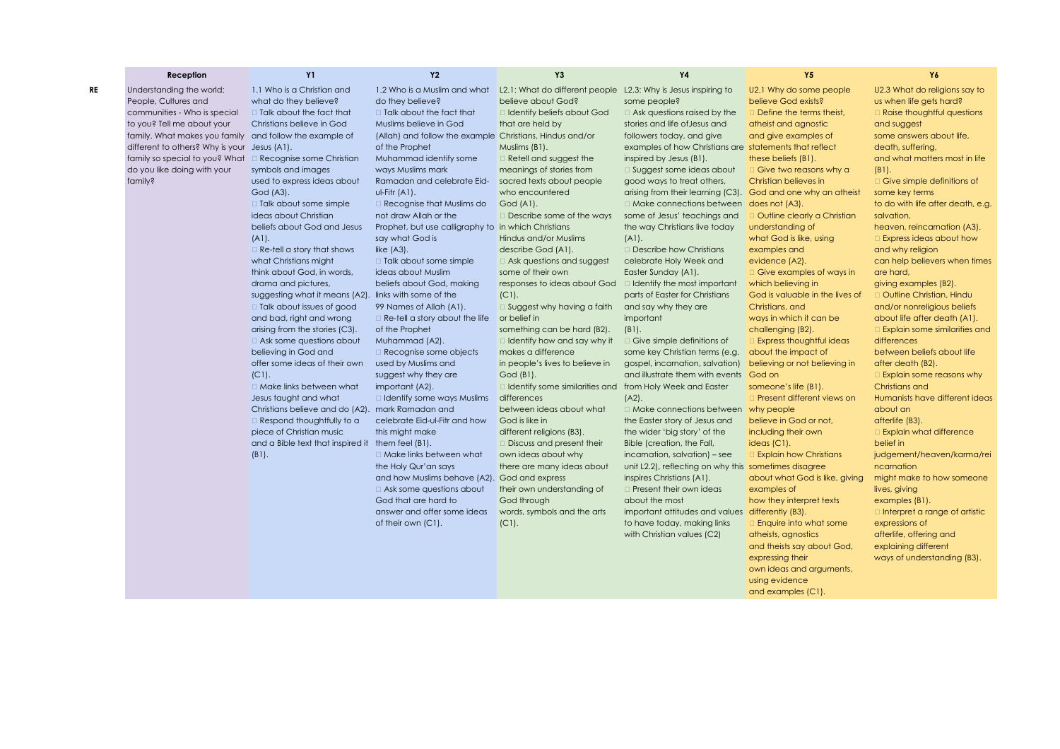|    | Reception                                                 | <b>Y1</b>                                             | Y <sub>2</sub>                                           | Y3                                                             | Y4                                                           | Y5                                                          | Y6                                                |
|----|-----------------------------------------------------------|-------------------------------------------------------|----------------------------------------------------------|----------------------------------------------------------------|--------------------------------------------------------------|-------------------------------------------------------------|---------------------------------------------------|
| RE | Understanding the world:                                  | 1.1 Who is a Christian and                            | 1.2 Who is a Muslim and what                             | L2.1: What do different people L2.3: Why is Jesus inspiring to |                                                              | U2.1 Why do some people                                     | U2.3 What do religions say to                     |
|    | People, Cultures and                                      | what do they believe?                                 | do they believe?                                         | believe about God?                                             | some people?                                                 | believe God exists?                                         | us when life gets hard?                           |
|    | communities - Who is special                              | $\Box$ Talk about the fact that                       | □ Talk about the fact that                               | □ Identify beliefs about God                                   | $\Box$ Ask questions raised by the                           | Define the terms theist,                                    | □ Raise thoughtful questions                      |
|    | to you? Tell me about your                                | Christians believe in God                             | Muslims believe in God                                   | that are held by                                               | stories and life of Jesus and                                | atheist and agnostic                                        | and suggest                                       |
|    | family. What makes you family and follow the example of   |                                                       | (Allah) and follow the example Christians, Hindus and/or |                                                                | followers today, and give                                    | and give examples of                                        | some answers about life,                          |
|    | different to others? Why is your Jesus (A1).              |                                                       | of the Prophet                                           | Muslims (B1).                                                  | examples of how Christians are statements that reflect       |                                                             | death, suffering,                                 |
|    | family so special to you? What □ Recognise some Christian |                                                       | Muhammad identify some                                   | $\Box$ Retell and suggest the                                  | inspired by Jesus (B1).                                      | these beliefs (B1).                                         | and what matters most in life                     |
|    | do you like doing with your                               | symbols and images                                    | ways Muslims mark                                        | meanings of stories from                                       | □ Suggest some ideas about                                   | Give two reasons why a                                      | $(B1)$ .                                          |
|    | family?                                                   | used to express ideas about                           | Ramadan and celebrate Eid-                               | sacred texts about people                                      | good ways to treat others,                                   | Christian believes in                                       | $\Box$ Give simple definitions of                 |
|    |                                                           | God (A3).                                             | $U$ -Fitr $(A1)$ .                                       | who encountered                                                | arising from their learning (C3). God and one why an atheist |                                                             | some key terms                                    |
|    |                                                           | □ Talk about some simple                              | $\Box$ Recognise that Muslims do                         | God (A1).                                                      | $\Box$ Make connections between does not (A3).               |                                                             | to do with life after death, e.g.                 |
|    |                                                           | ideas about Christian                                 | not draw Allah or the                                    | $\Box$ Describe some of the ways                               | some of Jesus' teachings and                                 | <b>Outline clearly a Christian</b>                          | salvation,                                        |
|    |                                                           | beliefs about God and Jesus                           | Prophet, but use calligraphy to in which Christians      |                                                                | the way Christians live today                                | understanding of                                            | heaven, reincarnation (A3).                       |
|    |                                                           | $(A1)$ .                                              | say what God is                                          | Hindus and/or Muslims                                          | (A1).                                                        | what God is like, using                                     | <b>Express ideas about how</b>                    |
|    |                                                           | $\Box$ Re-tell a story that shows                     | like $(A3)$ .                                            | describe God (A1).                                             | □ Describe how Christians                                    | examples and                                                | and why religion                                  |
|    |                                                           | what Christians might                                 | $\Box$ Talk about some simple                            | $\Box$ Ask questions and suggest                               | celebrate Holy Week and                                      | evidence (A2).                                              | can help believers when times                     |
|    |                                                           | think about God, in words,                            | ideas about Muslim                                       | some of their own                                              | Easter Sunday (A1).                                          | □ Give examples of ways in                                  | are hard,                                         |
|    |                                                           | drama and pictures,                                   | beliefs about God, making                                | responses to ideas about God                                   | I Identify the most important                                | which believing in                                          | giving examples (B2).                             |
|    |                                                           | suggesting what it means (A2). links with some of the |                                                          | $(C1)$ .                                                       | parts of Easter for Christians                               | God is valuable in the lives of                             | D Outline Christian, Hindu                        |
|    |                                                           | $\Box$ Talk about issues of good                      | 99 Names of Allah (A1).                                  | $\Box$ Suggest why having a faith                              | and say why they are                                         | Christians, and                                             | and/or nonreligious beliefs                       |
|    |                                                           | and bad, right and wrong                              | $\Box$ Re-tell a story about the life                    | or belief in                                                   | important                                                    | ways in which it can be                                     | about life after death (A1).                      |
|    |                                                           | arising from the stories (C3).                        | of the Prophet                                           | something can be hard (B2).                                    | $(B1)$ .                                                     | challenging (B2).                                           | Explain some similarities and                     |
|    |                                                           | $\Box$ Ask some questions about                       | Muhammad (A2).                                           | $\Box$ Identify how and say why it                             | $\Box$ Give simple definitions of                            | <b>Express thoughtful ideas</b>                             | differences                                       |
|    |                                                           | believing in God and                                  | $\Box$ Recognise some objects                            | makes a difference                                             | some key Christian terms (e.g.                               | about the impact of                                         | between beliefs about life                        |
|    |                                                           | offer some ideas of their own                         | used by Muslims and                                      | in people's lives to believe in                                | gospel, incarnation, salvation)                              | believing or not believing in                               | after death (B2).                                 |
|    |                                                           | $(C1)$ .<br>□ Make links between what                 | suggest why they are                                     | God (B1).                                                      | and illustrate them with events God on                       |                                                             | $\Box$ Explain some reasons why<br>Christians and |
|    |                                                           | Jesus taught and what                                 | important (A2).<br>I Identify some ways Muslims          | $\Box$ Identify some similarities and<br>differences           | from Holy Week and Easter<br>$(A2)$ .                        | someone's life (B1).<br><b>D</b> Present different views on | Humanists have different ideas                    |
|    |                                                           | Christians believe and do (A2). mark Ramadan and      |                                                          | between ideas about what                                       | $\Box$ Make connections between why people                   |                                                             | about an                                          |
|    |                                                           | $\Box$ Respond thoughtfully to a                      | celebrate Eid-ul-Fitr and how                            | God is like in                                                 | the Easter story of Jesus and                                | believe in God or not,                                      | afterlife (B3).                                   |
|    |                                                           | piece of Christian music                              | this might make                                          | different religions (B3).                                      | the wider 'big story' of the                                 | including their own                                         | <b>Explain what difference</b>                    |
|    |                                                           | and a Bible text that inspired it them feel (B1).     |                                                          | $\Box$ Discuss and present their                               | Bible (creation, the Fall,                                   | ideas (Cl).                                                 | belief in                                         |
|    |                                                           | $(B1)$ .                                              | □ Make links between what                                | own ideas about why                                            | incarnation, salvation) - see                                | <b>Explain how Christians</b>                               | judgement/heaven/karma/rei                        |
|    |                                                           |                                                       | the Holy Qur'an says                                     | there are many ideas about                                     | unit L2.2), reflecting on why this sometimes disagree        |                                                             | ncamation                                         |
|    |                                                           |                                                       | and how Muslims behave (A2). God and express             |                                                                | inspires Christians (A1).                                    | about what God is like, giving                              | might make to how someone                         |
|    |                                                           |                                                       | $\Box$ Ask some questions about                          | their own understanding of                                     | <b>D</b> Present their own ideas                             | examples of                                                 | lives, giving                                     |
|    |                                                           |                                                       | God that are hard to                                     | God through                                                    | about the most                                               | how they interpret texts                                    | examples (B1).                                    |
|    |                                                           |                                                       | answer and offer some ideas                              | words, symbols and the arts                                    | important attitudes and values differently (B3).             |                                                             | $\Box$ Interpret a range of artistic              |
|    |                                                           |                                                       | of their own (C1).                                       | $(C1)$ .                                                       | to have today, making links                                  | <b>Enquire into what some</b>                               | expressions of                                    |
|    |                                                           |                                                       |                                                          |                                                                | with Christian values (C2)                                   | atheists, agnostics                                         | afterlife, offering and                           |
|    |                                                           |                                                       |                                                          |                                                                |                                                              | and theists say about God,                                  | explaining different                              |
|    |                                                           |                                                       |                                                          |                                                                |                                                              | expressing their                                            | ways of understanding (B3).                       |
|    |                                                           |                                                       |                                                          |                                                                |                                                              | own ideas and arguments,                                    |                                                   |
|    |                                                           |                                                       |                                                          |                                                                |                                                              | using evidence                                              |                                                   |

and examples (C1).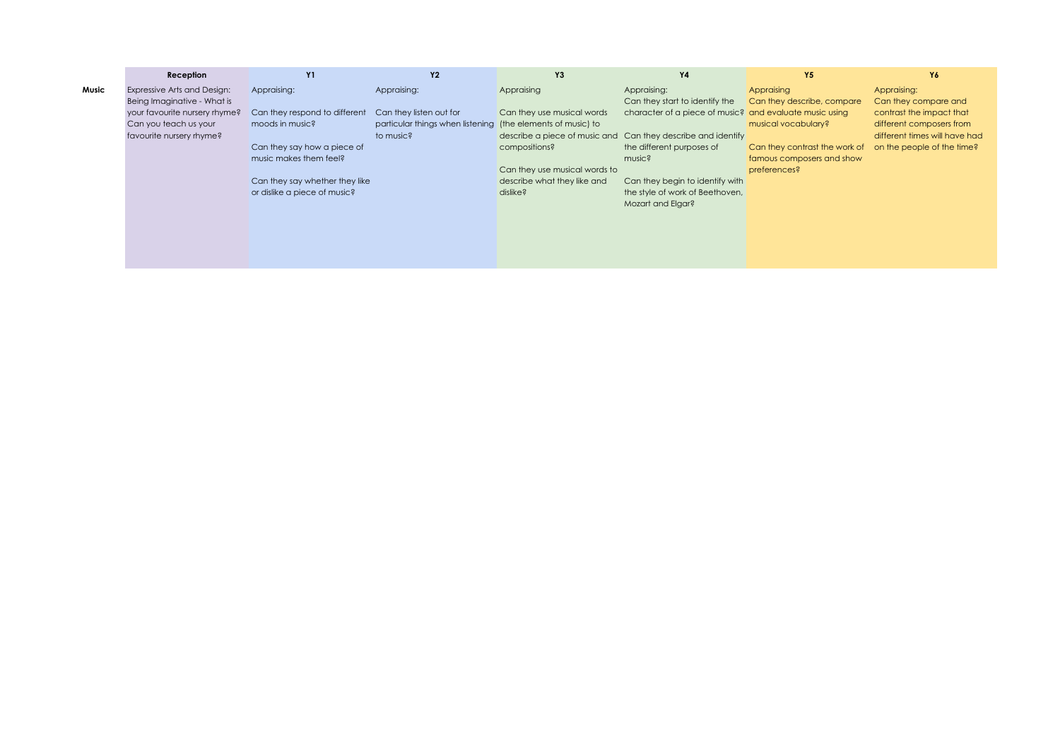|       | Reception                     | <b>Y1</b>                      | <b>Y2</b>                                                   | Y3                            | Y4                                                           | Y <sub>5</sub>                | Y6                            |
|-------|-------------------------------|--------------------------------|-------------------------------------------------------------|-------------------------------|--------------------------------------------------------------|-------------------------------|-------------------------------|
| Music | Expressive Arts and Design:   | Appraising:                    | Appraising:                                                 | Appraising                    | Appraising:                                                  | Appraising                    | Appraising:                   |
|       | Being Imaginative - What is   |                                |                                                             |                               | Can they start to identify the                               | Can they describe, compare    | Can they compare and          |
|       | your favourite nursery rhyme? | Can they respond to different  | Can they listen out for                                     | Can they use musical words    | character of a piece of music? and evaluate music using      |                               | contrast the impact that      |
|       | Can you teach us your         | moods in music?                | particular things when listening (the elements of music) to |                               |                                                              | musical vocabulary?           | different composers from      |
|       | favourite nursery rhyme?      |                                | to music?                                                   |                               | describe a piece of music and Can they describe and identify |                               | different times will have had |
|       |                               | Can they say how a piece of    |                                                             | compositions?                 | the different purposes of                                    | Can they contrast the work of | on the people of the time?    |
|       |                               | music makes them feel?         |                                                             |                               | music?                                                       | famous composers and show     |                               |
|       |                               |                                |                                                             | Can they use musical words to |                                                              | preferences?                  |                               |
|       |                               | Can they say whether they like |                                                             | describe what they like and   | Can they begin to identify with                              |                               |                               |
|       |                               | or dislike a piece of music?   |                                                             | dislike?                      | the style of work of Beethoven,                              |                               |                               |
|       |                               |                                |                                                             |                               | Mozart and Elgar?                                            |                               |                               |
|       |                               |                                |                                                             |                               |                                                              |                               |                               |
|       |                               |                                |                                                             |                               |                                                              |                               |                               |
|       |                               |                                |                                                             |                               |                                                              |                               |                               |
|       |                               |                                |                                                             |                               |                                                              |                               |                               |
|       |                               |                                |                                                             |                               |                                                              |                               |                               |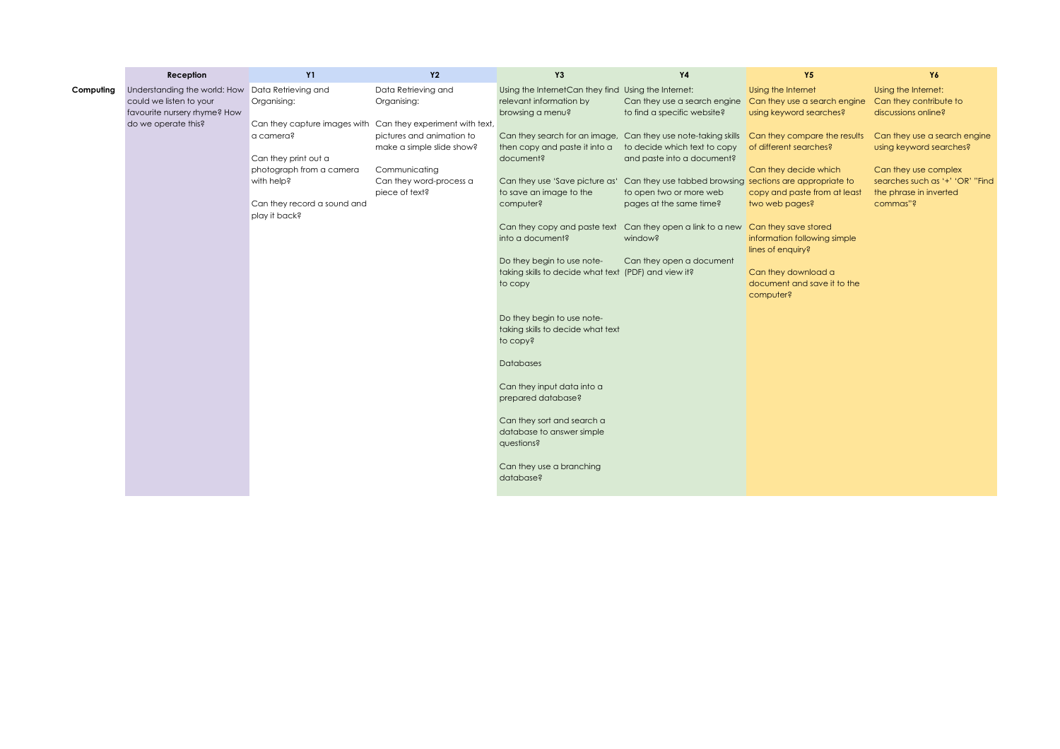|           | Reception                                                                                                      | Y1                                                                    | <b>Y2</b>                                                           | Y <sub>3</sub>                                                                                     | <b>Y4</b>                                                                                                      | <b>Y5</b>                                                                     | Y6                                                                                            |
|-----------|----------------------------------------------------------------------------------------------------------------|-----------------------------------------------------------------------|---------------------------------------------------------------------|----------------------------------------------------------------------------------------------------|----------------------------------------------------------------------------------------------------------------|-------------------------------------------------------------------------------|-----------------------------------------------------------------------------------------------|
| Computing | Understanding the world: How<br>could we listen to your<br>favourite nursery rhyme? How<br>do we operate this? | Data Retrieving and<br>Organising:<br>Can they capture images with    | Data Retrieving and<br>Organising:<br>Can they experiment with text | Using the InternetCan they find Using the Internet:<br>relevant information by<br>browsing a menu? | Can they use a search engine<br>to find a specific website?                                                    | Using the Internet<br>Can they use a search engine<br>using keyword searches? | Using the Internet:<br>Can they contribute to<br>discussions online?                          |
|           |                                                                                                                | a camera?<br>Can they print out a                                     | pictures and animation to<br>make a simple slide show?              | Can they search for an image,<br>then copy and paste it into a<br>document?                        | Can they use note-taking skills<br>to decide which text to copy<br>and paste into a document?                  | Can they compare the results<br>of different searches?                        | Can they use a search engine<br>using keyword searches?                                       |
|           |                                                                                                                | photograph from a camera<br>with help?<br>Can they record a sound and | Communicating<br>Can they word-process a<br>piece of text?          | Can they use 'Save picture as'<br>to save an image to the<br>computer?                             | Can they use tabbed browsing sections are appropriate to<br>to open two or more web<br>pages at the same time? | Can they decide which<br>copy and paste from at least<br>two web pages?       | Can they use complex<br>searches such as '+' 'OR' "Find<br>the phrase in inverted<br>commas"? |
|           |                                                                                                                | play it back?                                                         |                                                                     | Can they copy and paste text<br>into a document?                                                   | Can they open a link to a new Can they save stored<br>window?                                                  | information following simple<br>lines of enquiry?                             |                                                                                               |
|           |                                                                                                                |                                                                       |                                                                     | Do they begin to use note-<br>taking skills to decide what text (PDF) and view it?<br>to copy      | Can they open a document                                                                                       | Can they download a<br>document and save it to the<br>computer?               |                                                                                               |
|           |                                                                                                                |                                                                       |                                                                     | Do they begin to use note-<br>taking skills to decide what text<br>to copy?                        |                                                                                                                |                                                                               |                                                                                               |
|           |                                                                                                                |                                                                       |                                                                     | Databases                                                                                          |                                                                                                                |                                                                               |                                                                                               |
|           |                                                                                                                |                                                                       |                                                                     | Can they input data into a<br>prepared database?                                                   |                                                                                                                |                                                                               |                                                                                               |
|           |                                                                                                                |                                                                       |                                                                     | Can they sort and search a<br>database to answer simple<br>questions?                              |                                                                                                                |                                                                               |                                                                                               |
|           |                                                                                                                |                                                                       |                                                                     | Can they use a branching<br>database?                                                              |                                                                                                                |                                                                               |                                                                                               |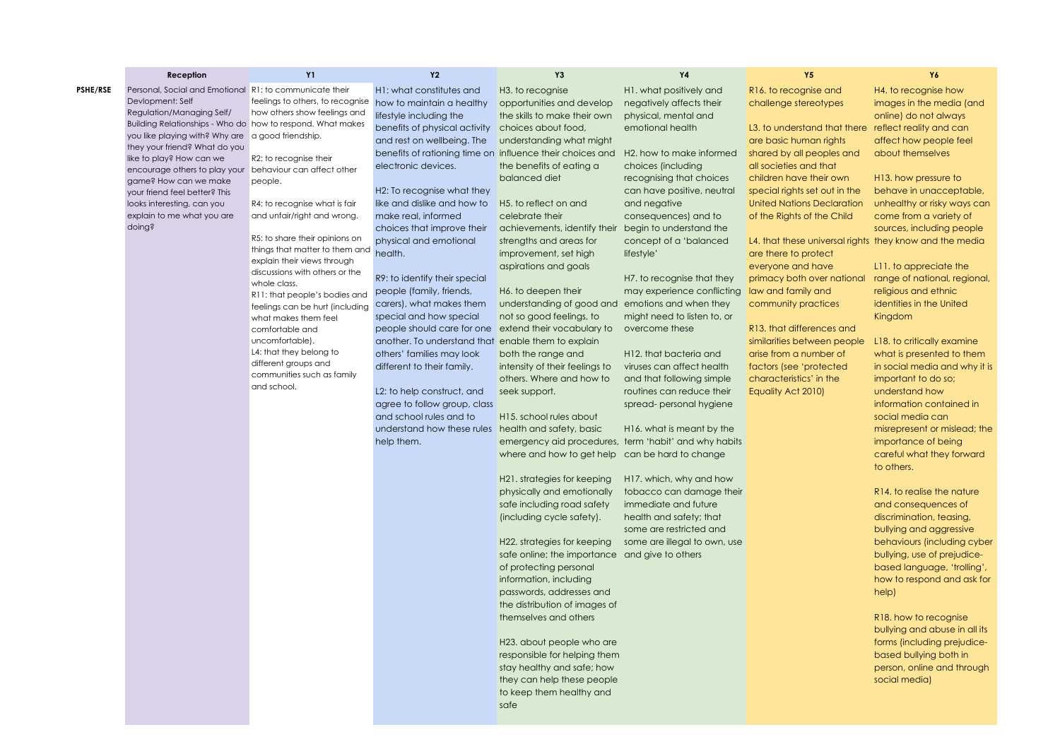|                 | Reception                                                   | <b>Y1</b>                               | <b>Y2</b>                                               | Y3                                                                       | Y4                                                      | Y5                                                      | Y6                                                        |
|-----------------|-------------------------------------------------------------|-----------------------------------------|---------------------------------------------------------|--------------------------------------------------------------------------|---------------------------------------------------------|---------------------------------------------------------|-----------------------------------------------------------|
| <b>PSHE/RSE</b> | Personal, Social and Emotional R1: to communicate their     |                                         | H1: what constitutes and                                | H3. to recognise                                                         | H1. what positively and                                 | R16. to recognise and                                   | H4. to recognise how                                      |
|                 | Devlopment: Self                                            | feelings to others, to recognise        | how to maintain a healthy                               | opportunities and develop                                                | negatively affects their                                | challenge stereotypes                                   | images in the media (and                                  |
|                 | Regulation/Managing Self/                                   | how others show feelings and            | lifestyle including the                                 | the skills to make their own                                             | physical, mental and                                    |                                                         | online) do not always                                     |
|                 | Building Relationships - Who do how to respond. What makes  |                                         | benefits of physical activity                           | choices about food,                                                      | emotional health                                        | L3, to understand that there reflect reality and can    |                                                           |
|                 | you like playing with? Why are a good friendship.           |                                         | and rest on wellbeing. The                              | understanding what might                                                 |                                                         | are basic human rights                                  | affect how people feel                                    |
|                 | they your friend? What do you                               |                                         |                                                         | benefits of rationing time on influence their choices and                | H2, how to make informed                                | shared by all peoples and                               | about themselves                                          |
|                 | like to play? How can we                                    | R2: to recognise their                  | electronic devices.                                     | the benefits of eating a                                                 | choices (including                                      | all societies and that                                  |                                                           |
|                 | encourage others to play your behaviour can affect other    |                                         |                                                         | balanced diet                                                            | recognising that choices                                | children have their own                                 | H <sub>13</sub> , how pressure to                         |
|                 | game? How can we make                                       | people.                                 | H2: To recognise what they                              |                                                                          | can have positive, neutral                              | special rights set out in the                           | behave in unacceptable,                                   |
|                 | your friend feel better? This<br>looks interesting, can you | R4: to recognise what is fair           | like and dislike and how to                             | H5. to reflect on and                                                    | and negative                                            | <b>United Nations Declaration</b>                       | unhealthy or risky ways can                               |
|                 | explain to me what you are                                  | and unfair/right and wrong.             | make real, informed                                     | celebrate their                                                          | consequences) and to                                    | of the Rights of the Child                              | come from a variety of                                    |
|                 | doing?                                                      |                                         | choices that improve their                              | achievements, identify their                                             | begin to understand the                                 |                                                         | sources, including people                                 |
|                 |                                                             | R5: to share their opinions on          | physical and emotional                                  | strengths and areas for                                                  | concept of a 'balanced                                  | L4, that these universal rights they know and the media |                                                           |
|                 |                                                             | things that matter to them and          | health.                                                 | improvement, set high                                                    | lifestyle'                                              | are there to protect                                    |                                                           |
|                 |                                                             | explain their views through             |                                                         | aspirations and goals                                                    |                                                         | everyone and have                                       | L11. to appreciate the                                    |
|                 |                                                             | discussions with others or the          | R9: to identify their special                           |                                                                          | H7, to recognise that they                              | primacy both over national                              | range of national, regional,                              |
|                 |                                                             | whole class.                            |                                                         | H6. to deepen their                                                      | may experience conflicting                              | law and family and                                      | religious and ethnic                                      |
|                 |                                                             | R11: that people's bodies and           | people (family, friends,<br>carers), what makes them    | understanding of good and                                                | emotions and when they                                  | community practices                                     | identities in the United                                  |
|                 |                                                             | feelings can be hurt (including         | special and how special                                 | not so good feelings, to                                                 | might need to listen to, or                             |                                                         | Kingdom                                                   |
|                 |                                                             | what makes them feel<br>comfortable and | people should care for one extend their vocabulary to   |                                                                          | overcome these                                          | R13. that differences and                               |                                                           |
|                 |                                                             | uncomfortable).                         | another. To understand that enable them to explain      |                                                                          |                                                         | similarities between people                             | L18. to critically examine                                |
|                 |                                                             | L4: that they belong to                 | others' families may look                               | both the range and                                                       | H12. that bacteria and                                  | arise from a number of                                  | what is presented to them                                 |
|                 |                                                             | different groups and                    | different to their family.                              | intensity of their feelings to                                           | viruses can affect health                               | factors (see 'protected                                 | in social media and why it is                             |
|                 |                                                             | communities such as family              |                                                         | others. Where and how to                                                 | and that following simple                               | characteristics' in the                                 | important to do so;                                       |
|                 |                                                             | and school.                             | L2: to help construct, and                              | seek support.                                                            | routines can reduce their                               | Equality Act 2010)                                      | understand how                                            |
|                 |                                                             |                                         |                                                         |                                                                          |                                                         |                                                         |                                                           |
|                 |                                                             |                                         | agree to follow group, class<br>and school rules and to |                                                                          | spread- personal hygiene                                |                                                         | information contained in                                  |
|                 |                                                             |                                         |                                                         | H15. school rules about                                                  |                                                         |                                                         | social media can                                          |
|                 |                                                             |                                         | understand how these rules health and safety, basic     |                                                                          | H <sub>16</sub> , what is meant by the                  |                                                         | misrepresent or mislead; the                              |
|                 |                                                             |                                         | help them.                                              |                                                                          | emergency aid procedures, term 'habit' and why habits   |                                                         | importance of being                                       |
|                 |                                                             |                                         |                                                         | where and how to get help                                                | can be hard to change                                   |                                                         | careful what they forward                                 |
|                 |                                                             |                                         |                                                         |                                                                          |                                                         |                                                         | to others.                                                |
|                 |                                                             |                                         |                                                         | H <sub>21</sub> , strategies for keeping                                 | H17. which, why and how                                 |                                                         |                                                           |
|                 |                                                             |                                         |                                                         | physically and emotionally                                               | tobacco can damage their<br>immediate and future        |                                                         | R14, to realise the nature<br>and consequences of         |
|                 |                                                             |                                         |                                                         | safe including road safety                                               |                                                         |                                                         |                                                           |
|                 |                                                             |                                         |                                                         | (including cycle safety).                                                | health and safety; that                                 |                                                         | discrimination, teasing,                                  |
|                 |                                                             |                                         |                                                         | H22. strategies for keeping                                              | some are restricted and<br>some are illegal to own, use |                                                         | bullying and aggressive<br>behaviours (including cyber    |
|                 |                                                             |                                         |                                                         |                                                                          |                                                         |                                                         |                                                           |
|                 |                                                             |                                         |                                                         | safe online; the importance and give to others<br>of protecting personal |                                                         |                                                         | bullying, use of prejudice-                               |
|                 |                                                             |                                         |                                                         | information, including                                                   |                                                         |                                                         | based language, 'trolling',<br>how to respond and ask for |
|                 |                                                             |                                         |                                                         | passwords, addresses and                                                 |                                                         |                                                         |                                                           |
|                 |                                                             |                                         |                                                         | the distribution of images of                                            |                                                         |                                                         | help)                                                     |
|                 |                                                             |                                         |                                                         | themselves and others                                                    |                                                         |                                                         | R18. how to recognise                                     |
|                 |                                                             |                                         |                                                         |                                                                          |                                                         |                                                         | bullying and abuse in all its                             |
|                 |                                                             |                                         |                                                         | H23. about people who are                                                |                                                         |                                                         | forms (including prejudice-                               |
|                 |                                                             |                                         |                                                         | responsible for helping them                                             |                                                         |                                                         |                                                           |
|                 |                                                             |                                         |                                                         | stay healthy and safe; how                                               |                                                         |                                                         | based bullying both in<br>person, online and through      |
|                 |                                                             |                                         |                                                         | they can help these people                                               |                                                         |                                                         | social media)                                             |
|                 |                                                             |                                         |                                                         | to keep them healthy and                                                 |                                                         |                                                         |                                                           |
|                 |                                                             |                                         |                                                         | safe                                                                     |                                                         |                                                         |                                                           |
|                 |                                                             |                                         |                                                         |                                                                          |                                                         |                                                         |                                                           |
|                 |                                                             |                                         |                                                         |                                                                          |                                                         |                                                         |                                                           |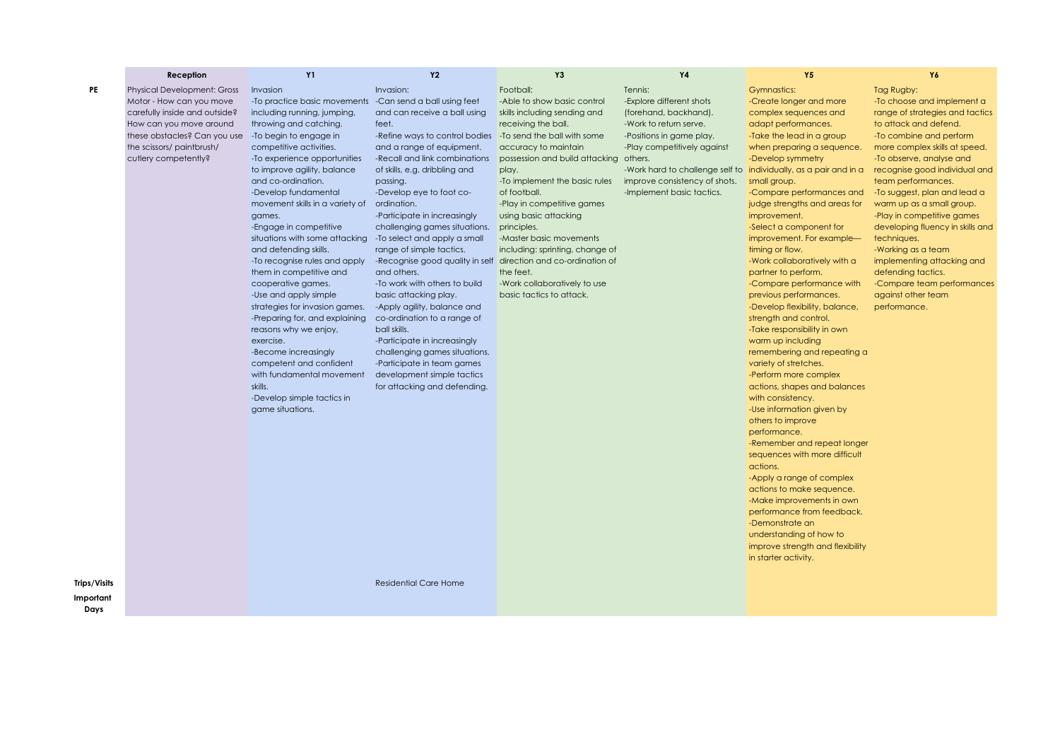|                     | Reception                                                                                                                                                                                                      | <b>Y1</b>                                                                                                                                                                                                                                                                                                                                                                                                                                                                                                                                                                                                                                                                                                                                                               | <b>Y2</b>                                                                                                                                                                                                                                                                                                                                                                                                                                                                                                                                                                                                                                                                                                                                                                                                                 | Y3                                                                                                                                                                                                                                                                                                                                                                                                                                       | <b>Y4</b>                                                                                                                                                                                                                                                                           | <b>Y5</b>                                                                                                                                                                                                                                                                                                                                                                                                                                                                                                                                                                                                                                                                                                                                                                                                                                                                                                                                                                                                                                                                                              | Y6                                                                                                                                                                                                                                                                                                                                                                                                                                                                                                                                              |
|---------------------|----------------------------------------------------------------------------------------------------------------------------------------------------------------------------------------------------------------|-------------------------------------------------------------------------------------------------------------------------------------------------------------------------------------------------------------------------------------------------------------------------------------------------------------------------------------------------------------------------------------------------------------------------------------------------------------------------------------------------------------------------------------------------------------------------------------------------------------------------------------------------------------------------------------------------------------------------------------------------------------------------|---------------------------------------------------------------------------------------------------------------------------------------------------------------------------------------------------------------------------------------------------------------------------------------------------------------------------------------------------------------------------------------------------------------------------------------------------------------------------------------------------------------------------------------------------------------------------------------------------------------------------------------------------------------------------------------------------------------------------------------------------------------------------------------------------------------------------|------------------------------------------------------------------------------------------------------------------------------------------------------------------------------------------------------------------------------------------------------------------------------------------------------------------------------------------------------------------------------------------------------------------------------------------|-------------------------------------------------------------------------------------------------------------------------------------------------------------------------------------------------------------------------------------------------------------------------------------|--------------------------------------------------------------------------------------------------------------------------------------------------------------------------------------------------------------------------------------------------------------------------------------------------------------------------------------------------------------------------------------------------------------------------------------------------------------------------------------------------------------------------------------------------------------------------------------------------------------------------------------------------------------------------------------------------------------------------------------------------------------------------------------------------------------------------------------------------------------------------------------------------------------------------------------------------------------------------------------------------------------------------------------------------------------------------------------------------------|-------------------------------------------------------------------------------------------------------------------------------------------------------------------------------------------------------------------------------------------------------------------------------------------------------------------------------------------------------------------------------------------------------------------------------------------------------------------------------------------------------------------------------------------------|
| PE                  | <b>Physical Development: Gross</b><br>Motor - How can you move<br>carefully inside and outside?<br>How can you move around<br>these obstacles? Can you use<br>the scissors/paintbrush/<br>cutlery competently? | Invasion<br>-To practice basic movements<br>including running, jumping,<br>throwing and catching.<br>-To begin to engage in<br>competitive activities.<br>-To experience opportunities<br>to improve agility, balance<br>and co-ordination.<br>-Develop fundamental<br>movement skills in a variety of<br>games.<br>-Engage in competitive<br>situations with some attacking<br>and defending skills.<br>-To recognise rules and apply<br>them in competitive and<br>cooperative games.<br>-Use and apply simple<br>strategies for invasion games.<br>-Preparing for, and explaining<br>reasons why we enjoy,<br>exercise.<br>-Become increasingly<br>competent and confident<br>with fundamental movement<br>skills.<br>-Develop simple tactics in<br>game situations. | Invasion:<br>-Can send a ball using feet<br>and can receive a ball using<br>feet.<br>-Refine ways to control bodies - To send the ball with some<br>and a range of equipment.<br>-Recall and link combinations<br>of skills, e.g. dribbling and<br>passing.<br>-Develop eye to foot co-<br>ordination.<br>-Participate in increasingly<br>challenging games situations.<br>-To select and apply a small<br>range of simple tactics.<br>-Recognise good quality in self direction and co-ordination of<br>and others.<br>-To work with others to build<br>basic attacking play.<br>-Apply agility, balance and<br>co-ordination to a range of<br>ball skills.<br>-Participate in increasingly<br>challenging games situations.<br>-Participate in team games<br>development simple tactics<br>for attacking and defending. | Football:<br>-Able to show basic control<br>skills including sending and<br>receiving the ball.<br>accuracy to maintain<br>possession and build attacking others.<br>play.<br>-To implement the basic rules<br>of football.<br>-Play in competitive games<br>using basic attacking<br>principles.<br>-Master basic movements<br>including: sprinting, change of<br>the feet.<br>-Work collaboratively to use<br>basic tactics to attack. | Tennis:<br>-Explore different shots<br>(forehand, backhand).<br>-Work to return serve.<br>-Positions in game play.<br>-Play competitively against<br>-Work hard to challenge self to individually, as a pair and in a<br>improve consistency of shots.<br>-Implement basic tactics. | <b>Gymnastics:</b><br>-Create longer and more<br>complex sequences and<br>adapt performances.<br>-Take the lead in a group<br>when preparing a sequence.<br>-Develop symmetry<br>small group.<br>-Compare performances and<br>judge strengths and areas for<br>improvement.<br>-Select a component for<br>improvement. For example-<br>timing or flow.<br>-Work collaboratively with a<br>partner to perform.<br>-Compare performance with<br>previous performances.<br>-Develop flexibility, balance,<br>strength and control.<br>-Take responsibility in own<br>warm up including<br>remembering and repeating a<br>variety of stretches.<br>-Perform more complex<br>actions, shapes and balances<br>with consistency.<br>-Use information given by<br>others to improve<br>performance.<br>-Remember and repeat longer<br>sequences with more difficult<br>actions.<br>-Apply a range of complex<br>actions to make sequence.<br>-Make improvements in own<br>performance from feedback.<br>-Demonstrate an<br>understanding of how to<br>improve strength and flexibility<br>in starter activity. | Tag Rugby:<br>-To choose and implement a<br>range of strategies and tactics<br>to attack and defend.<br>-To combine and perform<br>more complex skills at speed.<br>-To observe, analyse and<br>recognise good individual and<br>team performances.<br>-To suggest, plan and lead a<br>warm up as a small group.<br>-Play in competitive games<br>developing fluency in skills and<br>techniques.<br>-Working as a team<br>implementing attacking and<br>defending tactics.<br>-Compare team performances<br>against other team<br>performance. |
| <b>Trips/Visits</b> |                                                                                                                                                                                                                |                                                                                                                                                                                                                                                                                                                                                                                                                                                                                                                                                                                                                                                                                                                                                                         | <b>Residential Care Home</b>                                                                                                                                                                                                                                                                                                                                                                                                                                                                                                                                                                                                                                                                                                                                                                                              |                                                                                                                                                                                                                                                                                                                                                                                                                                          |                                                                                                                                                                                                                                                                                     |                                                                                                                                                                                                                                                                                                                                                                                                                                                                                                                                                                                                                                                                                                                                                                                                                                                                                                                                                                                                                                                                                                        |                                                                                                                                                                                                                                                                                                                                                                                                                                                                                                                                                 |
| Important<br>Days   |                                                                                                                                                                                                                |                                                                                                                                                                                                                                                                                                                                                                                                                                                                                                                                                                                                                                                                                                                                                                         |                                                                                                                                                                                                                                                                                                                                                                                                                                                                                                                                                                                                                                                                                                                                                                                                                           |                                                                                                                                                                                                                                                                                                                                                                                                                                          |                                                                                                                                                                                                                                                                                     |                                                                                                                                                                                                                                                                                                                                                                                                                                                                                                                                                                                                                                                                                                                                                                                                                                                                                                                                                                                                                                                                                                        |                                                                                                                                                                                                                                                                                                                                                                                                                                                                                                                                                 |